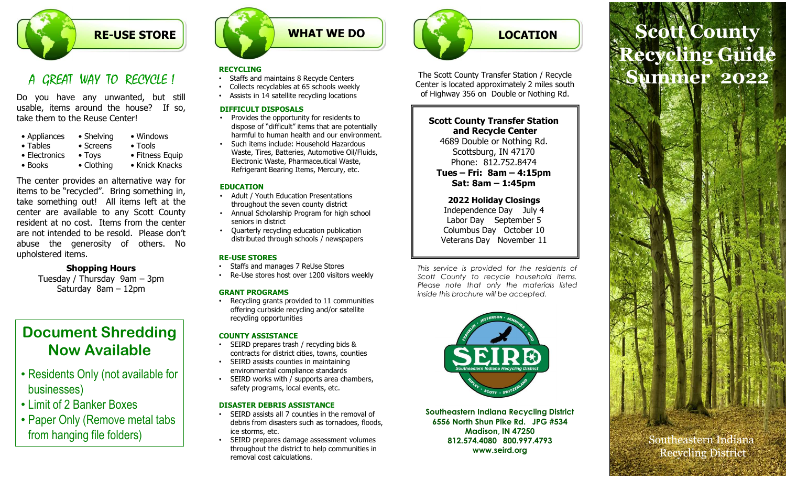

### A GREAT WAY TO RECYCLE !

| • Appliances  | • Shelving     | • Windows       |
|---------------|----------------|-----------------|
| • Tables      | • Screens      | $\bullet$ Tools |
| • Electronics | $\bullet$ Toys | • Fitness Equ   |
| • Books       | • Clothing     | • Knick Knack   |

**EXECUTE STORE**<br>
A GREAT WAY TO RECVCLE !<br>
Staffs and maintains 8 Recycle Centers<br>
Do you have any unwanted, but still<br>
Do you have any unwanted, but still<br>
Staffs and maintains 8 Recycle Centers<br>
Staffs and maintains 8 Re **EFRONT CONSIST STORE AREAD WHAT WE DO**<br>
A GREAT WAY TO RECVCLE !<br>
SECTING THE STORE SECTING THE SECTION COUNTING THE SECTION OF THE COUNTING SECTION COUNTING THE COUNTING THE COUNTING THE COUNTING THE COUNTING THE COUNTY **EXECUTE STORE**<br>
A GREAT WAY TO RECVCUE !<br>
No you have any unwanted, but still<br>
Do you have any unwanted, but still<br>
Staffs and maintains 8 Recycle Centers<br>
Staffs and maintains 8 Recycle Centers<br>
ushele, items around the **EXECUTE STORE**<br> **A** GREAT WAY TO RECVCLE !<br> **A** GREAT WAY TO RECVCLE !<br>
States and maintains 8 Recycle Centers<br>
Do you have any unwanted, but still<br>
Scales recycle is schools weekly<br>
the tens around the house? If so,<br>
the **EXECUTE STATE SECTION**<br> **A GREAT WAY TO RECVCLE!**<br>
No you have any unwanted, but still<br>
be general to the Reuse Center and minitalins 8 Recycle Centers<br>
take the motor the Reuse Center!<br>
stars and maintains 8 Recycle Cent 4 GREAT WAY TO RECVCLE !<br>
Stars and maintains 8 Recyclables at 65 scl<br>
Do you have any unwanted, but still<br>
usable, items around the house? If so,<br>
take them to the Reuse Center!<br>
Windows<br>
• The Resultion of the Reuse Cent **CREAT WAY TO RECVOLE!**<br>
Staffs and maintains 8 Recycle Centers<br>
you have any unwanted, but still<br>  $\frac{1}{2}$  Assists in 14 satellite recycling locations<br>
be, items around the house? If so,<br>  $\frac{1}{2}$  Assists in 14 satelli Collects recyclables at 65 schools weekly<br>
The WHI TV KCCYCLE !<br>
Soliets recyclables at 65 schools weekly<br>
The Reuse Center!<br>
Soliets recyclables at 65 schools weekly<br>
tens around the house? If so,<br>
Surface in the signe of

## Shopping Hours

## Document Shredding Now Available

- Residents Only (not available for businesses)
- Limit of 2 Banker Boxes
- Paper Only (Remove metal tabs from hanging file folders)



### RECYCLING

- Staffs and maintains 8 Recycle Centers
- Collects recyclables at 65 schools weekly
- Assists in 14 satellite recycling locations

### DIFFICULT DISPOSALS

- Provides the opportunity for residents to dispose of "difficult" items that are potentially harmful to human health and our environment.
- Such items include: Household Hazardous Waste, Tires, Batteries, Automotive Oil/Fluids, Electronic Waste, Pharmaceutical Waste, Refrigerant Bearing Items, Mercury, etc.  $\|\qquad \qquad$  Tues – Fri: 8am – 4:15pm

- Adult / Youth Education Presentations throughout the seven county district
- Annual Scholarship Program for high school seniors in district
- Quarterly recycling education publication distributed through schools / newspapers

### RE-USE STORES

- 
- 

• Recycling grants provided to 11 communities offering curbside recycling and/or satellite recycling opportunities

### COUNTY ASSISTANCE

- SEIRD prepares trash / recycling bids & contracts for district cities, towns, counties
- SEIRD assists counties in maintaining environmental compliance standards
- SEIRD works with / supports area chambers, safety programs, local events, etc.

### DISASTER DEBRIS ASSISTANCE

- SEIRD assists all 7 counties in the removal of debris from disasters such as tornadoes, floods, ice storms, etc.
- SEIRD prepares damage assessment volumes throughout the district to help communities in removal cost calculations.



The Scott County Transfer Station / Recycle Center is located approximately 2 miles south of Highway 356 on Double or Nothing Rd.

### Scott County Transfer Station and Recycle Center

4689 Double or Nothing Rd. Scottsburg, IN 47170 Phone: 812.752.8474 EDUCATION **EDUCATION EDUCATION** 

> 2022 Holiday Closings Independence Day July 4 Labor Day September 5 Columbus Day October 10 Veterans Day November 11

The Scott County Transfer Station / Recycle<br>
Center is located approximately 2 miles south<br>
of Highway 356 on Double or Nothing Rd.<br>
Scott County Transfer Station<br>
and Recycle Center<br>
4689 Double or Nothing Rd.<br>
Scott Supp The Scott County Transfer Station / Recycle<br>
Center is located approximately 2 miles south<br>
of Highway 356 on Double or Nothing Rd.<br>
Scott County Transfer Station<br>
and Recycle Center<br>
4689 Double or Nothing Rd.<br>
Scott Coun Enter is located approximately 2 miles south<br>
of Highway 356 on Double or Nothing Rd.<br>
Scott County Transfer Station<br>
4689 Double Cor Nothing Rd.<br>
Scottsburg, IN 47170<br>
Phone: 812.752.8474<br>
Trus – Fri: 82.752.8474<br>
Sat: Sa of Highway 356 on Double or Nothing Rd.<br>
Scott County Transfer Station<br>
and Recycle Center<br>
4689 Double or Nothing Rd.<br>
Scottsburg, IN 47170<br>
Phone: 812.752.8474<br>
Tues – Fri:  $8am - 4:15pm$ <br>
Sat:  $8am - 1:45pm$ <br>
Sat:  $8am - 1:45pm$ Staffs and manages 7 ReUse Stores entitled a state of the residents of • Re-Use stores host over 1200 visitors weekly sensule of the County to recycle household items. **GRANT PROGRAMS GRANT PROGRAMS Example 2012 CONSIDERING** *inside this brochure will be accepted.* 



Southeastern Indiana Recycling District 6556 North Shun Pike Rd. JPG #534 Madison, IN 47250 812.574.4080 800.997.4793 www.seird.org

# LOCATION Seott County LOCATION<br>
SCOLL COUNTY<br>
SCOLL COUNTY<br>
First located approximately 2 miles south<br>
ghway 356 on Double or Nothing Rd.<br>
Tott County Transfer Station<br>
4689 Double or Nothing Rd.<br>
Scottsburg, IN 47170<br>
Phone: 812.752.8474<br>
Tues LOCATION<br>
County Transfer Station / Recycle<br>
Cocated approximately 2 miles south<br>
ay 356 on Double or Nothing Rd.<br>
County Transfer Station<br>
Satis Bary Cle Center<br>
Southburg, IN 47170<br>
Security Transfer Station<br>
Sat: 8am – Recycling Guide Summer 2022

Southeastern Indiana Recycling District